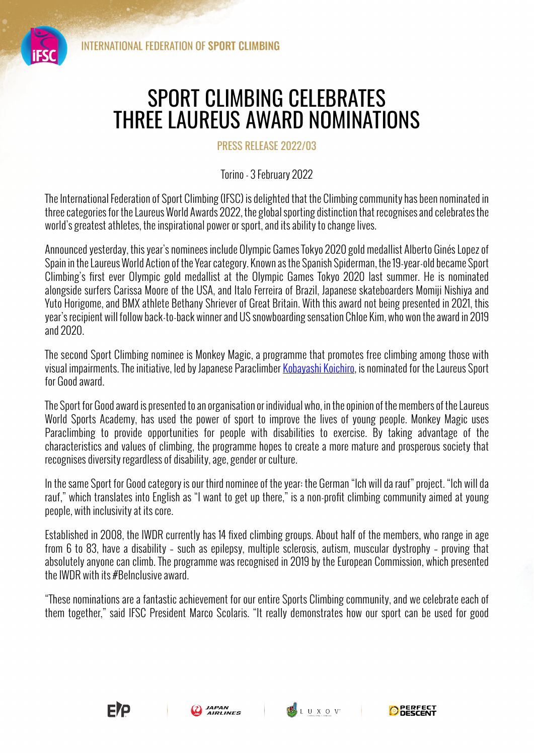## SPORT CLIMBING CELEBRATES THREE LAUREUS AWARD NOMINATIONS

PRESS RELEASE 2022/03

Torino - 3 February 2022

The International Federation of Sport Climbing (IFSC) is delighted that the Climbing community has been nominated in three categories for the Laureus World Awards 2022, the global sporting distinction that recognises and celebrates the world's greatest athletes, the inspirational power or sport, and its ability to change lives.

Announced yesterday, this year's nominees include Olympic Games Tokyo 2020 gold medallist Alberto Ginés Lopez of Spain in the Laureus World Action of the Year category. Known as the Spanish Spiderman, the 19-year-old became Sport Climbing's first ever Olympic gold medallist at the Olympic Games Tokyo 2020 last summer. He is nominated alongside surfers Carissa Moore of the USA, and Italo Ferreira of Brazil, Japanese skateboarders Momiji Nishiya and Yuto Horigome, and BMX athlete Bethany Shriever of Great Britain. With this award not being presented in 2021, this year's recipient will follow back-to-back winner and US snowboarding sensation Chloe Kim, who won the award in 2019 and 2020.

The second Sport Climbing nominee is Monkey Magic, a programme that promotes free climbing among those with visual impairments. The initiative, led by Japanese Paraclimber Kobayashi Koichiro, is nominated for the Laureus Sport for Good award.

The Sport for Good award is presented to an organisation or individual who, in the opinion of the members of the Laureus World Sports Academy, has used the power of sport to improve the lives of young people. Monkey Magic uses Paraclimbing to provide opportunities for people with disabilities to exercise. By taking advantage of the characteristics and values of climbing, the programme hopes to create a more mature and prosperous society that recognises diversity regardless of disability, age, gender or culture.

In the same Sport for Good category is our third nominee of the year: the German "Ich will da rauf" project. "Ich will da rauf," which translates into English as "I want to get up there," is a non-profit climbing community aimed at young people, with inclusivity at its core.

Established in 2008, the IWDR currently has 14 fixed climbing groups. About half of the members, who range in age from 6 to 83, have a disability – such as epilepsy, multiple sclerosis, autism, muscular dystrophy – proving that absolutely anyone can climb. The programme was recognised in 2019 by the European Commission, which presented the IWDR with its #BeInclusive award.

"These nominations are a fantastic achievement for our entire Sports Climbing community, and we celebrate each of them together," said IFSC President Marco Scolaris. "It really demonstrates how our sport can be used for good